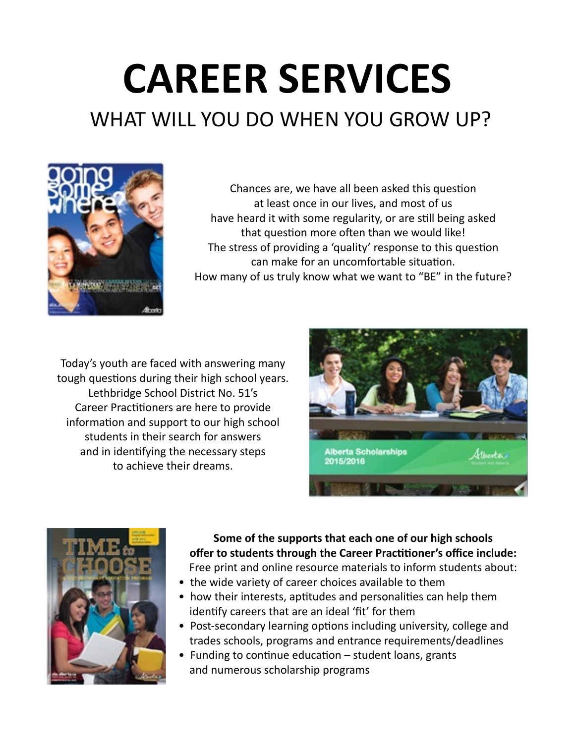## **CAREER SERVICES** WHAT WILL YOU DO WHEN YOU GROW UP?



Chances are, we have all been asked this question at least once in our lives, and most of us have heard it with some regularity, or are still being asked that question more often than we would like! The stress of providing a 'quality' response to this question can make for an uncomfortable situation. How many of us truly know what we want to "BE" in the future?

Today's youth are faced with answering many tough questions during their high school years. Lethbridge School District No. 51's Career Practitioners are here to provide information and support to our high school students in their search for answers and in identifying the necessary steps to achieve their dreams.





**Some of the supports that each one of our high schools offer to students through the Career Practitioner's office include:** Free print and online resource materials to inform students about:

- the wide variety of career choices available to them
- how their interests, aptitudes and personalities can help them identify careers that are an ideal 'fit' for them
- Post-secondary learning options including university, college and trades schools, programs and entrance requirements/deadlines
- Funding to continue education student loans, grants and numerous scholarship programs